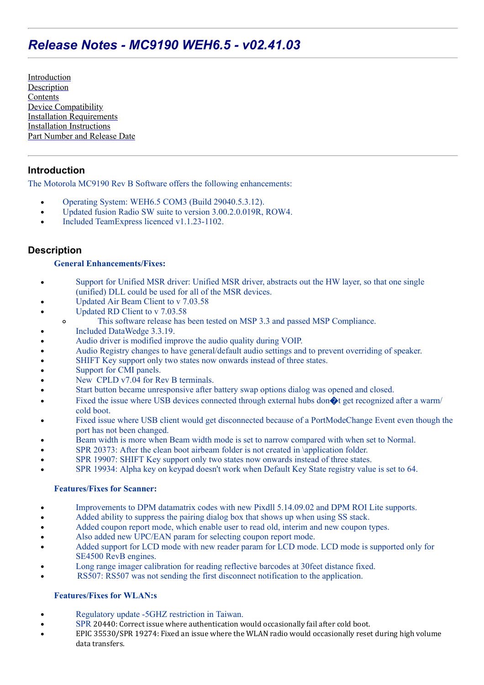# *Release Notes - MC9190 WEH6.5 - v02.41.03*

[Introduction](#page-0-0) **[Description](#page-0-1) [Contents](#page-1-0)** [Device Compatibility](#page-2-0) [Installation Requirements](#page-2-1) [Installation Instructions](#page-2-2) [Part Number and Release Date](#page-2-3)

# <span id="page-0-0"></span>**Introduction**

The Motorola MC9190 Rev B Software offers the following enhancements:

- Operating System: WEH6.5 COM3 (Build 29040.5.3.12).  $\bullet$
- Updated fusion Radio SW suite to version 3.00.2.0.019R, ROW4.  $\bullet$
- Included TeamExpress licenced v1.1.23-1102.

# <span id="page-0-1"></span>**Description**

### **General Enhancements/Fixes:**

- Support for Unified MSR driver: Unified MSR driver, abstracts out the HW layer, so that one single  $\bullet$ (unified) DLL could be used for all of the MSR devices.
- Updated Air Beam Client to v 7.03.58
- Updated RD Client to v 7.03.58  $\bullet$ 
	- This software release has been tested on MSP 3.3 and passed MSP Compliance.  $\circ$
- Included DataWedge 3.3.19.
- Audio driver is modified improve the audio quality during VOIP.
- Audio Registry changes to have general/default audio settings and to prevent overriding of speaker.
- SHIFT Key support only two states now onwards instead of three states.
- Support for CMI panels.
- New CPLD v7.04 for Rev B terminals.
- Start button became unresponsive after battery swap options dialog was opened and closed.
- Fixed the issue where USB devices connected through external hubs don $\bigcirc$ t get recognized after a warm/ cold boot.
- Fixed issue where USB client would get disconnected because of a PortModeChange Event even though the port has not been changed.
- Beam width is more when Beam width mode is set to narrow compared with when set to Normal.
- SPR 20373: After the clean boot airbeam folder is not created in \application folder.
- SPR 19907: SHIFT Key support only two states now onwards instead of three states.
- SPR 19934: Alpha key on keypad doesn't work when Default Key State registry value is set to 64.

#### **Features/Fixes for Scanner:**

- Improvements to DPM datamatrix codes with new Pixdll 5.14.09.02 and DPM ROI Lite supports.  $\bullet$
- Added ability to suppress the pairing dialog box that shows up when using SS stack.  $\bullet$
- Added coupon report mode, which enable user to read old, interim and new coupon types.
- Also added new UPC/EAN param for selecting coupon report mode.
- Added support for LCD mode with new reader param for LCD mode. LCD mode is supported only for SE4500 RevB engines.
- Long range imager calibration for reading reflective barcodes at 30feet distance fixed.
- RS507: RS507 was not sending the first disconnect notification to the application.

### **Features/Fixes for WLAN:s**

- Regulatory update -5GHZ restriction in Taiwan.
- SPR 20440: Correct issue where authentication would occasionally fail after cold boot.
- EPIC 35530/SPR 19274: Fixed an issue where the WLAN radio would occasionally reset during high volume data transfers.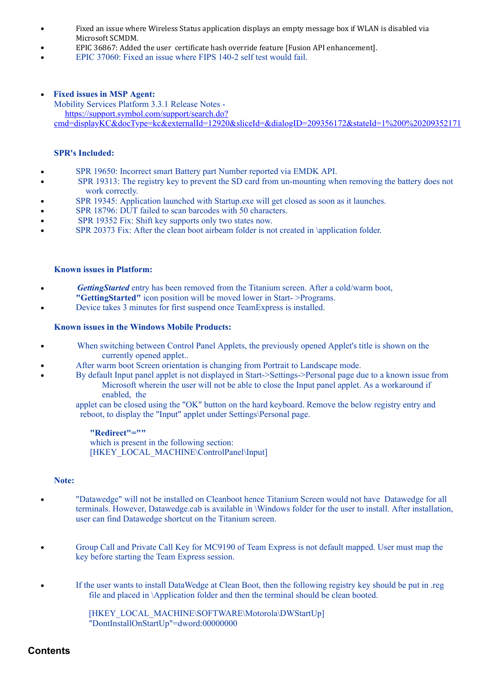- Fixed an issue where Wireless Status application displays an empty message box if WLAN is disabled via  $\bullet$ Microsoft SCMDM.
- EPIC 36867: Added the user certificate hash override feature [Fusion API enhancement].
- EPIC 37060: Fixed an issue where FIPS 140-2 self test would fail.
- **Fixed issues in MSP Agent:**

Mobility Services Platform 3.3.1 Release Notes https://support.symbol.com/support/search.do? [cmd=displayKC&docType=kc&externalId=12920&sliceId=&dialogID=209356172&stateId=1%200%20209352171](https://support.symbol.com/support/search.do?cmd=displayKC&docType=kc&externalId=12920&sliceId=&dialogID=209356172&stateId=1%200%20209352171)

#### **SPR's Included:**

- SPR 19650: Incorrect smart Battery part Number reported via EMDK API.  $\bullet$
- SPR 19313: The registry key to prevent the SD card from un-mounting when removing the battery does not  $\bullet$ work correctly.
- SPR 19345: Application launched with Startup.exe will get closed as soon as it launches.
- SPR 18796: DUT failed to scan barcodes with 50 characters.  $\bullet$
- SPR 19352 Fix: Shift key supports only two states now.  $\bullet$
- SPR 20373 Fix: After the clean boot airbeam folder is not created in \application folder.

#### **Known issues in Platform:**

- *GettingStarted* entry has been removed from the Titanium screen. After a cold/warm boot, **"GettingStarted"** icon position will be moved lower in Start- >Programs.
- Device takes 3 minutes for first suspend once TeamExpress is installed.

#### **Known issues in the Windows Mobile Products:**

- When switching between Control Panel Applets, the previously opened Applet's title is shown on the  $\bullet$ currently opened applet..
- After warm boot Screen orientation is changing from Portrait to Landscape mode.
	- By default Input panel applet is not displayed in Start->Settings->Personal page due to a known issue from Microsoft wherein the user will not be able to close the Input panel applet. As a workaround if enabled, the

 applet can be closed using the "OK" button on the hard keyboard. Remove the below registry entry and reboot, to display the "Input" applet under Settings\Personal page.

#### **"Redirect"=""**

which is present in the following section: [HKEY\_LOCAL\_MACHINE\ControlPanel\Input]

#### **Note:**

- "Datawedge" will not be installed on Cleanboot hence Titanium Screen would not have Datawedge for all terminals. However, Datawedge.cab is available in \Windows folder for the user to install. After installation, user can find Datawedge shortcut on the Titanium screen.
- Group Call and Private Call Key for MC9190 of Team Express is not default mapped. User must map the key before starting the Team Express session.
- If the user wants to install DataWedge at Clean Boot, then the following registry key should be put in .reg  $\bullet$ file and placed in \Application folder and then the terminal should be clean booted.

[HKEY\_LOCAL\_MACHINE\SOFTWARE\Motorola\DWStartUp] "DontInstallOnStartUp"=dword:00000000

### <span id="page-1-0"></span>**Contents**